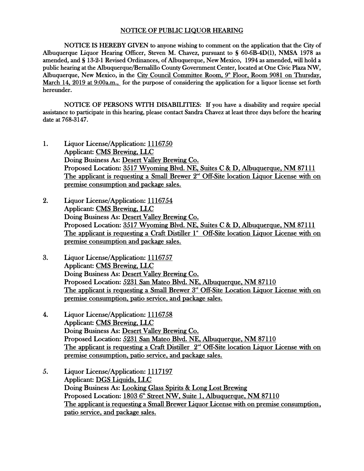## NOTICE OF PUBLIC LIQUOR HEARING

NOTICE IS HEREBY GIVEN to anyone wishing to comment on the application that the City of Albuquerque Liquor Hearing Officer, Steven M. Chavez, pursuant to § 60-6B-4D(1), NMSA 1978 as amended, and § 13-2-1 Revised Ordinances, of Albuquerque, New Mexico, 1994 as amended, will hold a public hearing at the Albuquerque/Bernalillo County Government Center, located at One Civic Plaza NW, Albuquerque, New Mexico, in the City Council Committee Room, 9<sup>th</sup> Floor, Room 9081 on Thursday, March 14, 2019 at 9:00a.m., for the purpose of considering the application for a liquor license set forth hereunder.

NOTICE OF PERSONS WITH DISABILITIES: If you have a disability and require special assistance to participate in this hearing, please contact Sandra Chavez at least three days before the hearing date at 768-3147.

- 1. Liquor License/Application: 1116750 Applicant: CMS Brewing, LLC Doing Business As: Desert Valley Brewing Co. Proposed Location: 3517 Wyoming Blvd. NE, Suites C & D, Albuquerque, NM 87111 The applicant is requesting a Small Brewer  $2<sup>nd</sup>$  Off-Site location Liquor License with on premise consumption and package sales.
- 2. Liquor License/Application: 1116754 Applicant: CMS Brewing, LLC Doing Business As: Desert Valley Brewing Co. Proposed Location: 3517 Wyoming Blvd. NE, Suites C & D, Albuquerque, NM 87111 The applicant is requesting a Craft Distiller 1<sup>\*</sup> Off-Site location Liquor License with on premise consumption and package sales.
- 3. Liquor License/Application: 1116757 Applicant: CMS Brewing, LLC Doing Business As: Desert Valley Brewing Co. Proposed Location: 5231 San Mateo Blvd. NE, Albuquerque, NM 87110 The applicant is requesting a Small Brewer  $3<sup>rd</sup>$  Off-Site Location Liquor License with on premise consumption, patio service, and package sales.
- 4. Liquor License/Application: 1116758 Applicant: CMS Brewing, LLC Doing Business As: Desert Valley Brewing Co. Proposed Location: 5231 San Mateo Blvd. NE, Albuquerque, NM 87110 The applicant is requesting a Craft Distiller  $2<sup>nd</sup>$  Off-Site location Liquor License with on premise consumption, patio service, and package sales.
- 5. Liquor License/Application: 1117197 Applicant: DGS Liquids, LLC Doing Business As: Looking Glass Spirits & Long Lost Brewing Proposed Location: 1803 6<sup>th</sup> Street NW, Suite 1, Albuquerque, NM 87110 The applicant is requesting a Small Brewer Liquor License with on premise consumption, patio service, and package sales.